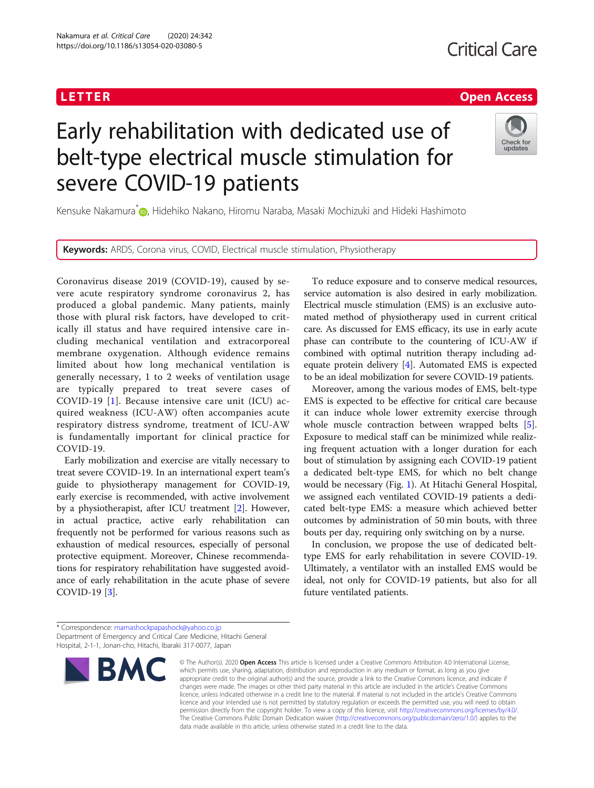## <u>L E T E T ER Open [Access](http://crossmark.crossref.org/dialog/?doi=10.1186/s13054-020-03080-5&domain=pdf) de la Carte de la Carte de la Carte de la Carte de la Carte de la Carte de la Carte d</u><br>L

# Early rehabilitation with dedicated use of belt-type electrical muscle stimulation for severe COVID-19 patients



Kensuke Nakamura<sup>[\\*](http://orcid.org/0000-0001-8481-0294)</sup> , Hidehiko Nakano, Hiromu Naraba, Masaki Mochizuki and Hideki Hashimoto

Keywords: ARDS, Corona virus, COVID, Electrical muscle stimulation, Physiotherapy

Coronavirus disease 2019 (COVID-19), caused by severe acute respiratory syndrome coronavirus 2, has produced a global pandemic. Many patients, mainly those with plural risk factors, have developed to critically ill status and have required intensive care including mechanical ventilation and extracorporeal membrane oxygenation. Although evidence remains limited about how long mechanical ventilation is generally necessary, 1 to 2 weeks of ventilation usage are typically prepared to treat severe cases of COVID-19 [[1\]](#page-1-0). Because intensive care unit (ICU) acquired weakness (ICU-AW) often accompanies acute respiratory distress syndrome, treatment of ICU-AW is fundamentally important for clinical practice for COVID-19.

Early mobilization and exercise are vitally necessary to treat severe COVID-19. In an international expert team's guide to physiotherapy management for COVID-19, early exercise is recommended, with active involvement by a physiotherapist, after ICU treatment [[2\]](#page-1-0). However, in actual practice, active early rehabilitation can frequently not be performed for various reasons such as exhaustion of medical resources, especially of personal protective equipment. Moreover, Chinese recommendations for respiratory rehabilitation have suggested avoidance of early rehabilitation in the acute phase of severe COVID-19 [[3\]](#page-1-0).

To reduce exposure and to conserve medical resources, service automation is also desired in early mobilization. Electrical muscle stimulation (EMS) is an exclusive automated method of physiotherapy used in current critical care. As discussed for EMS efficacy, its use in early acute phase can contribute to the countering of ICU-AW if combined with optimal nutrition therapy including adequate protein delivery [\[4](#page-1-0)]. Automated EMS is expected to be an ideal mobilization for severe COVID-19 patients.

Moreover, among the various modes of EMS, belt-type EMS is expected to be effective for critical care because it can induce whole lower extremity exercise through whole muscle contraction between wrapped belts [\[5](#page-1-0)]. Exposure to medical staff can be minimized while realizing frequent actuation with a longer duration for each bout of stimulation by assigning each COVID-19 patient a dedicated belt-type EMS, for which no belt change would be necessary (Fig. [1\)](#page-1-0). At Hitachi General Hospital, we assigned each ventilated COVID-19 patients a dedicated belt-type EMS: a measure which achieved better outcomes by administration of 50 min bouts, with three bouts per day, requiring only switching on by a nurse.

In conclusion, we propose the use of dedicated belttype EMS for early rehabilitation in severe COVID-19. Ultimately, a ventilator with an installed EMS would be ideal, not only for COVID-19 patients, but also for all future ventilated patients.

<sup>\*</sup> Correspondence: [mamashockpapashock@yahoo.co.jp](mailto:mamashockpapashock@yahoo.co.jp) Department of Emergency and Critical Care Medicine, Hitachi General Hospital, 2-1-1, Jonan-cho, Hitachi, Ibaraki 317-0077, Japan



<sup>©</sup> The Author(s), 2020 **Open Access** This article is licensed under a Creative Commons Attribution 4.0 International License, which permits use, sharing, adaptation, distribution and reproduction in any medium or format, as long as you give appropriate credit to the original author(s) and the source, provide a link to the Creative Commons licence, and indicate if changes were made. The images or other third party material in this article are included in the article's Creative Commons licence, unless indicated otherwise in a credit line to the material. If material is not included in the article's Creative Commons licence and your intended use is not permitted by statutory regulation or exceeds the permitted use, you will need to obtain permission directly from the copyright holder. To view a copy of this licence, visit [http://creativecommons.org/licenses/by/4.0/.](http://creativecommons.org/licenses/by/4.0/) The Creative Commons Public Domain Dedication waiver [\(http://creativecommons.org/publicdomain/zero/1.0/](http://creativecommons.org/publicdomain/zero/1.0/)) applies to the data made available in this article, unless otherwise stated in a credit line to the data.